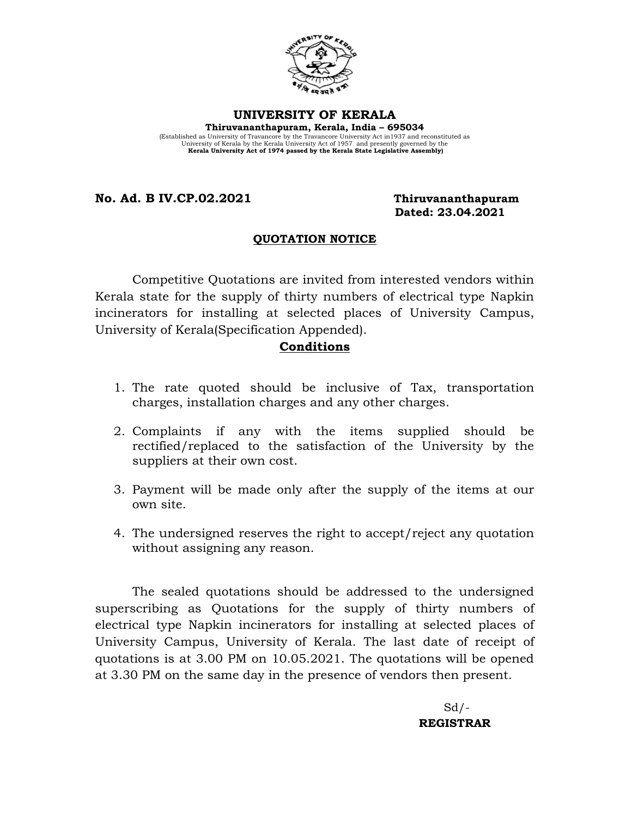

#### **UNIVERSITY OF KERALA**

**Thiruvananthapuram, Kerala, India – 695034**  (Established as University of Travancore by the Travancore University Act in1937 and reconstituted as University of Kerala by the Kerala University Act of 1957 and presently governed by the **Kerala University Act of 1974 passed by the Kerala State Legislative Assembly)**

**No. Ad. B IV.CP.02.2021 Thiruvananthapuram**

# **Dated: 23.04.2021**

#### **QUOTATION NOTICE**

Competitive Quotations are invited from interested vendors within Kerala state for the supply of thirty numbers of electrical type Napkin incinerators for installing at selected places of University Campus, University of Kerala(Specification Appended).

### **Conditions**

- 1. The rate quoted should be inclusive of Tax, transportation charges, installation charges and any other charges.
- 2. Complaints if any with the items supplied should be rectified/replaced to the satisfaction of the University by the suppliers at their own cost.
- 3. Payment will be made only after the supply of the items at our own site.
- 4. The undersigned reserves the right to accept/reject any quotation without assigning any reason.

The sealed quotations should be addressed to the undersigned superscribing as Quotations for the supply of thirty numbers of electrical type Napkin incinerators for installing at selected places of University Campus, University of Kerala. The last date of receipt of quotations is at 3.00 PM on 10.05.2021. The quotations will be opened at 3.30 PM on the same day in the presence of vendors then present.